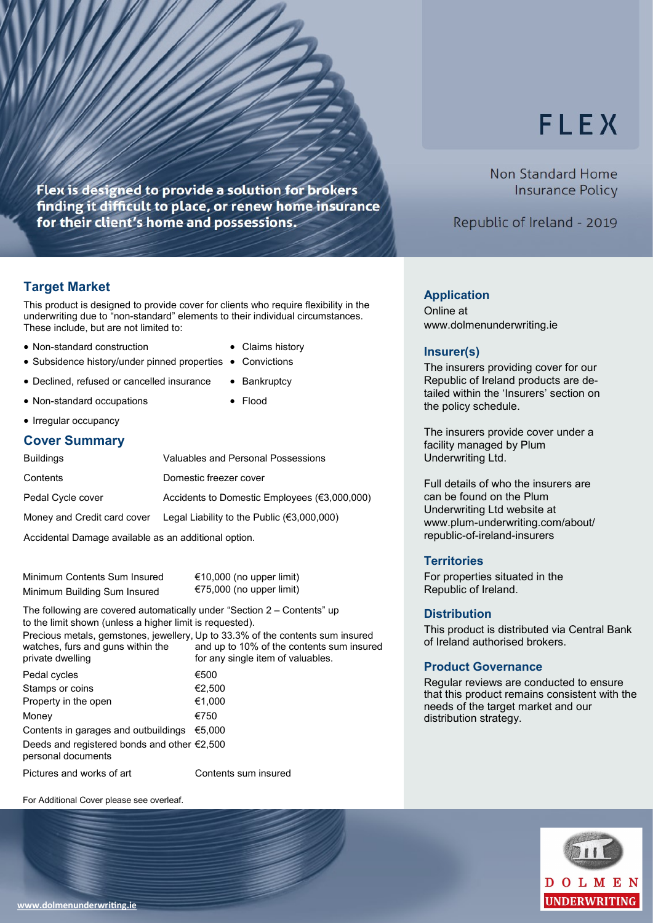# **FLEX**

Non Standard Home **Insurance Policy** 

Republic of Ireland - 2019

### **Target Market**

This product is designed to provide cover for clients who require flexibility in the underwriting due to "non-standard" elements to their individual circumstances. These include, but are not limited to:

Flex is designed to provide a solution for brokers

for their client's home and possessions.

finding it difficult to place, or renew home insurance

- Non-standard construction Claims history
- Subsidence history/under pinned properties Convictions
- Declined, refused or cancelled insurance Bankruptcy
- Non-standard occupations Flood
- -

### • Irregular occupancy

#### **Cover Summary**

| <b>Buildings</b>                                                                                                                                                                                                               | Valuables and Personal Possessions                                               |  |
|--------------------------------------------------------------------------------------------------------------------------------------------------------------------------------------------------------------------------------|----------------------------------------------------------------------------------|--|
| Contents                                                                                                                                                                                                                       | Domestic freezer cover                                                           |  |
| Pedal Cycle cover                                                                                                                                                                                                              | Accidents to Domestic Employees (€3,000,000)                                     |  |
|                                                                                                                                                                                                                                | Money and Credit card cover Legal Liability to the Public $(\epsilon 3,000,000)$ |  |
| A second contact the company of the second contact and the contact of the contact of the contact of the contact of the contact of the contact of the contact of the contact of the contact of the contact of the contact of th |                                                                                  |  |

Accidental Damage available as an additional option.

Minimum Contents Sum Insured €10,000 (no upper limit) Minimum Building Sum Insured €75,000 (no upper limit)

The following are covered automatically under "Section 2 – Contents" up to the limit shown (unless a higher limit is requested). Precious metals, gemstones, jewellery, Up to 33.3% of the contents sum insured

| watches, furs and guns within the<br>private dwelling                       | and up to 10% of the contents sum insured<br>for any single item of valuables. |
|-----------------------------------------------------------------------------|--------------------------------------------------------------------------------|
| Pedal cycles                                                                | €500                                                                           |
| Stamps or coins                                                             | €2,500                                                                         |
| Property in the open                                                        | €1,000                                                                         |
| Money                                                                       | €750                                                                           |
| Contents in garages and outbuildings                                        | €5.000                                                                         |
| Deeds and registered bonds and other $\epsilon$ 2,500<br>personal documents |                                                                                |
| Pictures and works of art                                                   | Contents sum insured                                                           |

For Additional Cover please see overleaf.

- 
- 
- 

## **Application**

Online at www.dolmenunderwriting.ie

### **Insurer(s)**

The insurers providing cover for our Republic of Ireland products are detailed within the 'Insurers' section on the policy schedule.

The insurers provide cover under a facility managed by Plum Underwriting Ltd.

Full details of who the insurers are can be found on the Plum Underwriting Ltd website at www.plum-underwriting.com/about/ republic-of-ireland-insurers

### **Territories**

For properties situated in the Republic of Ireland.

### **Distribution**

This product is distributed via Central Bank of Ireland authorised brokers.

### **Product Governance**

Regular reviews are conducted to ensure that this product remains consistent with the needs of the target market and our distribution strategy.